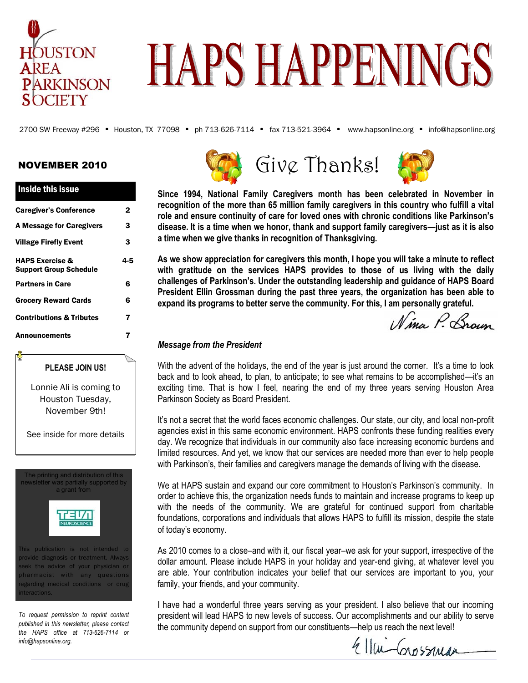

# **HAPS HAPPENINGS**

2700 SW Freeway #296 • Houston, TX 77098 • ph 713-626-7114 • fax 713-521-3964 • www.hapsonline.org • info@hapsonline.org

#### NOVEMBER 2010

Inside this issue

| <b>THRUG LINS ISSUE</b>                                     |     |
|-------------------------------------------------------------|-----|
| <b>Caregiver's Conference</b>                               | 2   |
| <b>A Message for Caregivers</b>                             | 3   |
| <b>Village Firefly Event</b>                                | 3   |
| <b>HAPS Exercise &amp;</b><br><b>Support Group Schedule</b> | 4-5 |
| <b>Partners in Care</b>                                     | 6   |
| <b>Grocery Reward Cards</b>                                 | 6   |
| <b>Contributions &amp; Tributes</b>                         | 7   |
| Announcements                                               | 7   |
|                                                             |     |



The printing and distribution of this newsletter was partially supported by a grant from This publication is not intended to provide diagnosis or treatment. Always

seek the advice of your physician or pharmacist with any questions regarding medical conditions or drug nteractions.

*To request permission to reprint content published in this newsletter, please contact the HAPS office at 713-626-7114 or info@hapsonline.org.* 







**Since 1994, National Family Caregivers month has been celebrated in November in recognition of the more than 65 million family caregivers in this country who fulfill a vital role and ensure continuity of care for loved ones with chronic conditions like Parkinson's disease. It is a time when we honor, thank and support family caregivers—just as it is also a time when we give thanks in recognition of Thanksgiving.** 

**As we show appreciation for caregivers this month, I hope you will take a minute to reflect with gratitude on the services HAPS provides to those of us living with the daily challenges of Parkinson's. Under the outstanding leadership and guidance of HAPS Board President Ellin Grossman during the past three years, the organization has been able to expand its programs to better serve the community. For this, I am personally grateful.** 

Nina P. Brown

#### *Message from the President*

With the advent of the holidays, the end of the year is just around the corner. It's a time to look back and to look ahead, to plan, to anticipate; to see what remains to be accomplished—it's an exciting time. That is how I feel, nearing the end of my three years serving Houston Area Parkinson Society as Board President.

It's not a secret that the world faces economic challenges. Our state, our city, and local non-profit agencies exist in this same economic environment. HAPS confronts these funding realities every day. We recognize that individuals in our community also face increasing economic burdens and limited resources. And yet, we know that our services are needed more than ever to help people with Parkinson's, their families and caregivers manage the demands of living with the disease.

We at HAPS sustain and expand our core commitment to Houston's Parkinson's community. In order to achieve this, the organization needs funds to maintain and increase programs to keep up with the needs of the community. We are grateful for continued support from charitable foundations, corporations and individuals that allows HAPS to fulfill its mission, despite the state of today's economy.

As 2010 comes to a close–and with it, our fiscal year–we ask for your support, irrespective of the dollar amount. Please include HAPS in your holiday and year-end giving, at whatever level you are able. Your contribution indicates your belief that our services are important to you, your family, your friends, and your community.

I have had a wonderful three years serving as your president. I also believe that our incoming president will lead HAPS to new levels of success. Our accomplishments and our ability to serve the community depend on support from our constituents—help us reach the next level!

Ellui Corpssman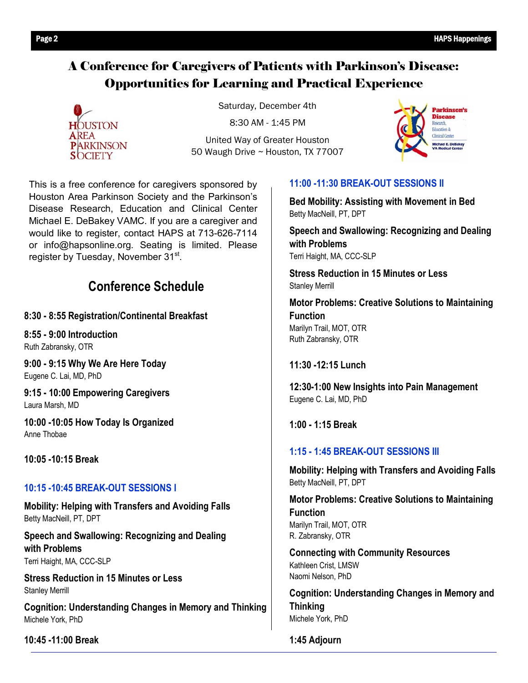#### A Conference for Caregivers of Patients with Parkinson's Disease: Opportunities for Learning and Practical Experience



Saturday, December 4th

8:30 AM - 1:45 PM

United Way of Greater Houston 50 Waugh Drive ~ Houston, TX 77007



This is a free conference for caregivers sponsored by Houston Area Parkinson Society and the Parkinson's Disease Research, Education and Clinical Center Michael E. DeBakey VAMC. If you are a caregiver and would like to register, contact HAPS at 713-626-7114 or info@hapsonline.org. Seating is limited. Please register by Tuesday, November 31st.

### **Conference Schedule**

**8:30 - 8:55 Registration/Continental Breakfast** 

**8:55 - 9:00 Introduction**  Ruth Zabransky, OTR

**9:00 - 9:15 Why We Are Here Today**  Eugene C. Lai, MD, PhD

**9:15 - 10:00 Empowering Caregivers**  Laura Marsh, MD

**10:00 -10:05 How Today Is Organized**  Anne Thobae

**10:05 -10:15 Break** 

#### **10:15 -10:45 BREAK-OUT SESSIONS I**

**Mobility: Helping with Transfers and Avoiding Falls**  Betty MacNeill, PT, DPT

**Speech and Swallowing: Recognizing and Dealing with Problems**  Terri Haight, MA, CCC-SLP

**Stress Reduction in 15 Minutes or Less**  Stanley Merrill

**Cognition: Understanding Changes in Memory and Thinking**  Michele York, PhD

**10:45 -11:00 Break**

#### **11:00 -11:30 BREAK-OUT SESSIONS II**

**Bed Mobility: Assisting with Movement in Bed**  Betty MacNeill, PT, DPT

**Speech and Swallowing: Recognizing and Dealing with Problems**  Terri Haight, MA, CCC-SLP

**Stress Reduction in 15 Minutes or Less**  Stanley Merrill

**Motor Problems: Creative Solutions to Maintaining Function**  Marilyn Trail, MOT, OTR Ruth Zabransky, OTR

**11:30 -12:15 Lunch** 

**12:30-1:00 New Insights into Pain Management**  Eugene C. Lai, MD, PhD

**1:00 - 1:15 Break**

#### **1:15 - 1:45 BREAK-OUT SESSIONS III**

**Mobility: Helping with Transfers and Avoiding Falls**  Betty MacNeill, PT, DPT

**Motor Problems: Creative Solutions to Maintaining Function**  Marilyn Trail, MOT, OTR R. Zabransky, OTR

**Connecting with Community Resources**  Kathleen Crist, LMSW Naomi Nelson, PhD

**Cognition: Understanding Changes in Memory and Thinking**  Michele York, PhD

**1:45 Adjourn**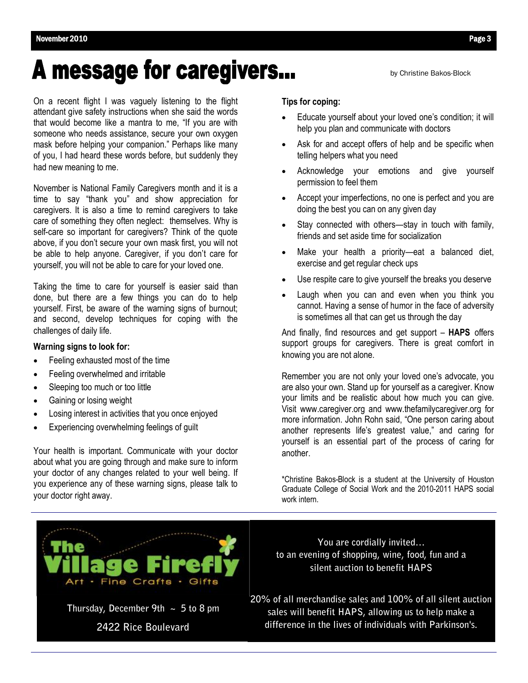## **A message for caregivers...**

On a recent flight I was vaguely listening to the flight attendant give safety instructions when she said the words that would become like a mantra to me, "If you are with someone who needs assistance, secure your own oxygen mask before helping your companion." Perhaps like many of you, I had heard these words before, but suddenly they had new meaning to me.

November is National Family Caregivers month and it is a time to say "thank you" and show appreciation for caregivers. It is also a time to remind caregivers to take care of something they often neglect: themselves. Why is self-care so important for caregivers? Think of the quote above, if you don't secure your own mask first, you will not be able to help anyone. Caregiver, if you don't care for yourself, you will not be able to care for your loved one.

Taking the time to care for yourself is easier said than done, but there are a few things you can do to help yourself. First, be aware of the warning signs of burnout; and second, develop techniques for coping with the challenges of daily life.

#### **Warning signs to look for:**

- Feeling exhausted most of the time
- Feeling overwhelmed and irritable
- Sleeping too much or too little
- Gaining or losing weight
- Losing interest in activities that you once enjoyed
- Experiencing overwhelming feelings of guilt

Your health is important. Communicate with your doctor about what you are going through and make sure to inform your doctor of any changes related to your well being. If you experience any of these warning signs, please talk to your doctor right away.

#### **Tips for coping:**

 Educate yourself about your loved one's condition; it will help you plan and communicate with doctors

by Christine Bakos-Block

- Ask for and accept offers of help and be specific when telling helpers what you need
- Acknowledge your emotions and give yourself permission to feel them
- Accept your imperfections, no one is perfect and you are doing the best you can on any given day
- Stay connected with others—stay in touch with family, friends and set aside time for socialization
- Make your health a priority—eat a balanced diet, exercise and get regular check ups
- Use respite care to give yourself the breaks you deserve
- Laugh when you can and even when you think you cannot. Having a sense of humor in the face of adversity is sometimes all that can get us through the day

And finally, find resources and get support – **HAPS** offers support groups for caregivers. There is great comfort in knowing you are not alone.

Remember you are not only your loved one's advocate, you are also your own. Stand up for yourself as a caregiver. Know your limits and be realistic about how much you can give. Visit www.caregiver.org and www.thefamilycaregiver.org for more information. John Rohn said, "One person caring about another represents life's greatest value," and caring for yourself is an essential part of the process of caring for another.

\*Christine Bakos-Block is a student at the University of Houston Graduate College of Social Work and the 2010-2011 HAPS social work intern.



**Thursday, December 9th ~ 5 to 8 pm 2422 Rice Boulevard** 

**You are cordially invited… to an evening of shopping, wine, food, fun and a silent auction to benefit HAPS** 

**20% of all merchandise sales and 100% of all silent auction sales will benefit HAPS, allowing us to help make a difference in the lives of individuals with Parkinson's.**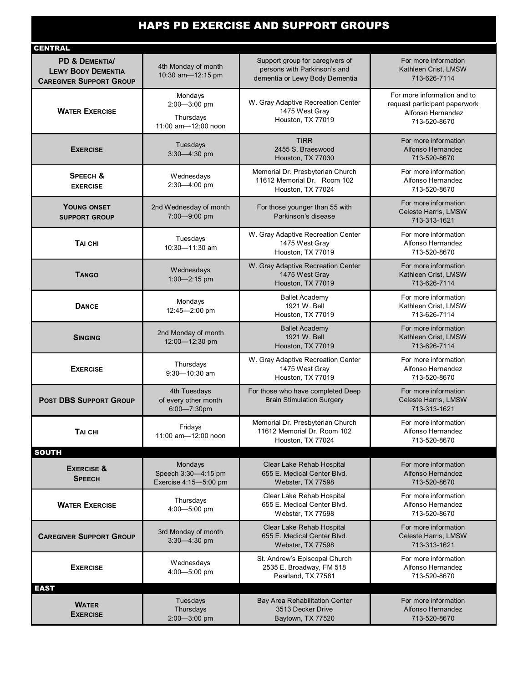### HAPS PD EXERCISE AND SUPPORT GROUPS

| <b>CENTRAL</b>                                                                           |                                                             |                                                                                                   |                                                                                                   |
|------------------------------------------------------------------------------------------|-------------------------------------------------------------|---------------------------------------------------------------------------------------------------|---------------------------------------------------------------------------------------------------|
| <b>PD &amp; DEMENTIA/</b><br><b>LEWY BODY DEMENTIA</b><br><b>CAREGIVER SUPPORT GROUP</b> | 4th Monday of month<br>10:30 am-12:15 pm                    | Support group for caregivers of<br>persons with Parkinson's and<br>dementia or Lewy Body Dementia | For more information<br>Kathleen Crist, LMSW<br>713-626-7114                                      |
| <b>WATER EXERCISE</b>                                                                    | Mondays<br>2:00-3:00 pm<br>Thursdays<br>11:00 am-12:00 noon | W. Gray Adaptive Recreation Center<br>1475 West Gray<br>Houston, TX 77019                         | For more information and to<br>request participant paperwork<br>Alfonso Hernandez<br>713-520-8670 |
| <b>EXERCISE</b>                                                                          | Tuesdays<br>3:30-4:30 pm                                    | <b>TIRR</b><br>2455 S. Braeswood<br>Houston, TX 77030                                             | For more information<br>Alfonso Hernandez<br>713-520-8670                                         |
| <b>SPEECH &amp;</b><br><b>EXERCISE</b>                                                   | Wednesdays<br>2:30-4:00 pm                                  | Memorial Dr. Presbyterian Church<br>11612 Memorial Dr. Room 102<br>Houston, TX 77024              | For more information<br>Alfonso Hernandez<br>713-520-8670                                         |
| YOUNG ONSET<br><b>SUPPORT GROUP</b>                                                      | 2nd Wednesday of month<br>7:00-9:00 pm                      | For those younger than 55 with<br>Parkinson's disease                                             | For more information<br>Celeste Harris, LMSW<br>713-313-1621                                      |
| TAI CHI                                                                                  | Tuesdays<br>10:30-11:30 am                                  | W. Gray Adaptive Recreation Center<br>1475 West Gray<br>Houston, TX 77019                         | For more information<br>Alfonso Hernandez<br>713-520-8670                                         |
| <b>TANGO</b>                                                                             | Wednesdays<br>1:00-2:15 pm                                  | W. Gray Adaptive Recreation Center<br>1475 West Gray<br>Houston, TX 77019                         | For more information<br>Kathleen Crist, LMSW<br>713-626-7114                                      |
| <b>DANCE</b>                                                                             | Mondays<br>12:45-2:00 pm                                    | <b>Ballet Academy</b><br>1921 W. Bell<br>Houston, TX 77019                                        | For more information<br>Kathleen Crist, LMSW<br>713-626-7114                                      |
| <b>SINGING</b>                                                                           | 2nd Monday of month<br>12:00-12:30 pm                       | <b>Ballet Academy</b><br>1921 W. Bell<br>Houston, TX 77019                                        | For more information<br>Kathleen Crist, LMSW<br>713-626-7114                                      |
| <b>EXERCISE</b>                                                                          | Thursdays<br>$9:30 - 10:30$ am                              | W. Gray Adaptive Recreation Center<br>1475 West Gray<br>Houston, TX 77019                         | For more information<br>Alfonso Hernandez<br>713-520-8670                                         |
| <b>POST DBS SUPPORT GROUP</b>                                                            | 4th Tuesdays<br>of every other month<br>$6:00 - 7:30$ pm    | For those who have completed Deep<br><b>Brain Stimulation Surgery</b>                             | For more information<br>Celeste Harris, LMSW<br>713-313-1621                                      |
| TAI CHI<br><b>SOUTH</b>                                                                  | Fridays<br>11:00 am-12:00 noon                              | Memorial Dr. Presbyterian Church<br>11612 Memorial Dr. Room 102<br>Houston, TX 77024              | For more information<br>Alfonso Hernandez<br>713-520-8670                                         |
| <b>EXERCISE &amp;</b><br><b>SPEECH</b>                                                   | Mondays<br>Speech 3:30-4:15 pm<br>Exercise 4:15-5:00 pm     | Clear Lake Rehab Hospital<br>655 E. Medical Center Blvd.<br>Webster, TX 77598                     | For more information<br>Alfonso Hernandez<br>713-520-8670                                         |
| <b>WATER EXERCISE</b>                                                                    | Thursdays<br>4:00-5:00 pm                                   | Clear Lake Rehab Hospital<br>655 E. Medical Center Blvd.<br>Webster, TX 77598                     | For more information<br>Alfonso Hernandez<br>713-520-8670                                         |
| <b>CAREGIVER SUPPORT GROUP</b>                                                           | 3rd Monday of month<br>3:30-4:30 pm                         | Clear Lake Rehab Hospital<br>655 E. Medical Center Blvd.<br>Webster, TX 77598                     | For more information<br>Celeste Harris, LMSW<br>713-313-1621                                      |
| <b>EXERCISE</b>                                                                          | Wednesdays<br>4:00-5:00 pm                                  | St. Andrew's Episcopal Church<br>2535 E. Broadway, FM 518<br>Pearland, TX 77581                   | For more information<br>Alfonso Hernandez<br>713-520-8670                                         |
| <b>EAST</b>                                                                              |                                                             |                                                                                                   |                                                                                                   |
| <b>WATER</b><br><b>EXERCISE</b>                                                          | Tuesdays<br>Thursdays<br>2:00-3:00 pm                       | Bay Area Rehabilitation Center<br>3513 Decker Drive<br>Baytown, TX 77520                          | For more information<br>Alfonso Hernandez<br>713-520-8670                                         |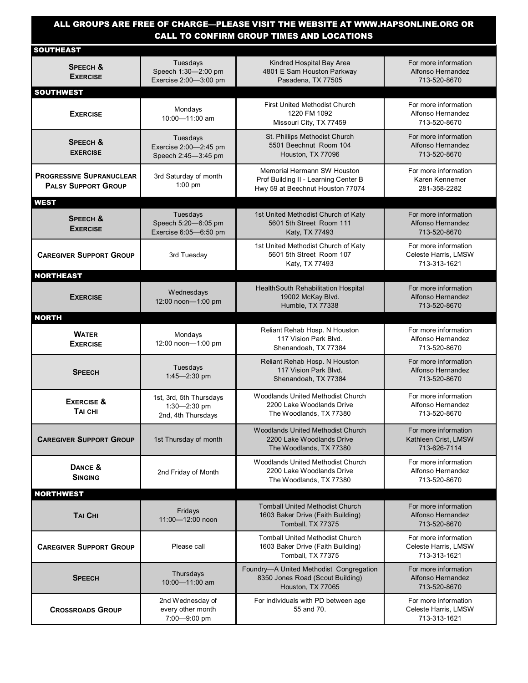#### ALL GROUPS ARE FREE OF CHARGE—PLEASE VISIT THE WEBSITE AT WWW.HAPSONLINE.ORG OR CALL TO CONFIRM GROUP TIMES AND LOCATIONS

| SOUTHEAST                                                     |                                                                   |                                                                                                         |                                                              |
|---------------------------------------------------------------|-------------------------------------------------------------------|---------------------------------------------------------------------------------------------------------|--------------------------------------------------------------|
| SPEECH &<br><b>EXERCISE</b>                                   | Tuesdays<br>Speech 1:30-2:00 pm<br>Exercise 2:00-3:00 pm          | Kindred Hospital Bay Area<br>4801 E Sam Houston Parkway<br>Pasadena, TX 77505                           | For more information<br>Alfonso Hernandez<br>713-520-8670    |
| <b>SOUTHWEST</b>                                              |                                                                   |                                                                                                         |                                                              |
| <b>EXERCISE</b>                                               | Mondays<br>10:00-11:00 am                                         | <b>First United Methodist Church</b><br>1220 FM 1092<br>Missouri City, TX 77459                         | For more information<br>Alfonso Hernandez<br>713-520-8670    |
| <b>SPEECH &amp;</b><br><b>EXERCISE</b>                        | Tuesdays<br>Exercise 2:00-2:45 pm<br>Speech 2:45-3:45 pm          | St. Phillips Methodist Church<br>5501 Beechnut Room 104<br>Houston, TX 77096                            | For more information<br>Alfonso Hernandez<br>713-520-8670    |
| <b>PROGRESSIVE SUPRANUCLEAR</b><br><b>PALSY SUPPORT GROUP</b> | 3rd Saturday of month<br>$1:00 \text{ pm}$                        | Memorial Hermann SW Houston<br>Prof Building II - Learning Center B<br>Hwy 59 at Beechnut Houston 77074 | For more information<br>Karen Kennemer<br>281-358-2282       |
| <b>WEST</b>                                                   |                                                                   |                                                                                                         |                                                              |
| <b>SPEECH &amp;</b><br><b>EXERCISE</b>                        | Tuesdays<br>Speech 5:20-6:05 pm<br>Exercise 6:05-6:50 pm          | 1st United Methodist Church of Katy<br>5601 5th Street Room 111<br>Katy, TX 77493                       | For more information<br>Alfonso Hernandez<br>713-520-8670    |
| <b>CAREGIVER SUPPORT GROUP</b>                                | 3rd Tuesday                                                       | 1st United Methodist Church of Katy<br>5601 5th Street Room 107<br>Katy, TX 77493                       | For more information<br>Celeste Harris, LMSW<br>713-313-1621 |
| <b>NORTHEAST</b>                                              |                                                                   |                                                                                                         |                                                              |
| <b>EXERCISE</b>                                               | Wednesdays<br>12:00 noon-1:00 pm                                  | HealthSouth Rehabilitation Hospital<br>19002 McKay Blvd.<br>Humble, TX 77338                            | For more information<br>Alfonso Hernandez<br>713-520-8670    |
| <b>NORTH</b>                                                  |                                                                   |                                                                                                         |                                                              |
| <b>WATER</b><br><b>EXERCISE</b>                               | Mondays<br>12:00 noon-1:00 pm                                     | Reliant Rehab Hosp. N Houston<br>117 Vision Park Blvd.<br>Shenandoah, TX 77384                          | For more information<br>Alfonso Hernandez<br>713-520-8670    |
| <b>SPEECH</b>                                                 | Tuesdays<br>1:45-2:30 pm                                          | Reliant Rehab Hosp. N Houston<br>117 Vision Park Blvd.<br>Shenandoah, TX 77384                          | For more information<br>Alfonso Hernandez<br>713-520-8670    |
| <b>EXERCISE &amp;</b><br>TAI CHI                              | 1st, 3rd, 5th Thursdays<br>$1:30 - 2:30$ pm<br>2nd, 4th Thursdays | Woodlands United Methodist Church<br>2200 Lake Woodlands Drive<br>The Woodlands, TX 77380               | For more information<br>Alfonso Hernandez<br>713-520-8670    |
| <b>CAREGIVER SUPPORT GROUP</b>                                | 1st Thursday of month                                             | Woodlands United Methodist Church<br>2200 Lake Woodlands Drive<br>The Woodlands, TX 77380               | For more information<br>Kathleen Crist, LMSW<br>713-626-7114 |
| DANCE &<br><b>SINGING</b>                                     | 2nd Friday of Month                                               | Woodlands United Methodist Church<br>2200 Lake Woodlands Drive<br>The Woodlands, TX 77380               | For more information<br>Alfonso Hernandez<br>713-520-8670    |
| <b>NORTHWEST</b>                                              |                                                                   |                                                                                                         |                                                              |
| <b>TAI CHI</b>                                                | Fridays<br>11:00-12:00 noon                                       | <b>Tomball United Methodist Church</b><br>1603 Baker Drive (Faith Building)<br>Tomball, TX 77375        | For more information<br>Alfonso Hernandez<br>713-520-8670    |
| <b>CAREGIVER SUPPORT GROUP</b>                                | Please call                                                       | <b>Tomball United Methodist Church</b><br>1603 Baker Drive (Faith Building)<br>Tomball, TX 77375        | For more information<br>Celeste Harris, LMSW<br>713-313-1621 |
| <b>SPEECH</b>                                                 | Thursdays<br>10:00-11:00 am                                       | Foundry-A United Methodist Congregation<br>8350 Jones Road (Scout Building)<br>Houston, TX 77065        | For more information<br>Alfonso Hernandez<br>713-520-8670    |
| <b>CROSSROADS GROUP</b>                                       | 2nd Wednesday of<br>every other month<br>7:00-9:00 pm             | For individuals with PD between age<br>55 and 70.                                                       | For more information<br>Celeste Harris, LMSW<br>713-313-1621 |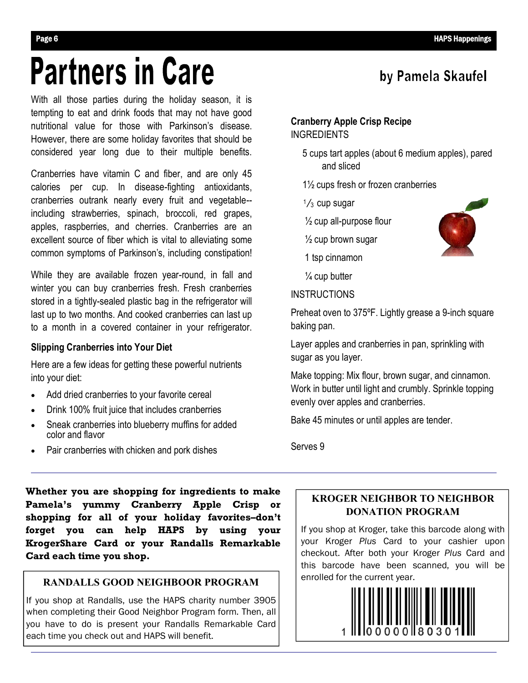by Pamela Skaufel

## **Partners in Care**

With all those parties during the holiday season, it is tempting to eat and drink foods that may not have good nutritional value for those with Parkinson's disease. However, there are some holiday favorites that should be considered year long due to their multiple benefits.

Cranberries have vitamin C and fiber, and are only 45 calories per cup. In disease-fighting antioxidants, cranberries outrank nearly every fruit and vegetable- including strawberries, spinach, broccoli, red grapes, apples, raspberries, and cherries. Cranberries are an excellent source of fiber which is vital to alleviating some common symptoms of Parkinson's, including constipation!

While they are available frozen year-round, in fall and winter you can buy cranberries fresh. Fresh cranberries stored in a tightly-sealed plastic bag in the refrigerator will last up to two months. And cooked cranberries can last up to a month in a covered container in your refrigerator.

#### **Slipping Cranberries into Your Diet**

Here are a few ideas for getting these powerful nutrients into your diet:

- Add dried cranberries to your favorite cereal
- Drink 100% fruit juice that includes cranberries
- Sneak cranberries into blueberry muffins for added color and flavor
- Pair cranberries with chicken and pork dishes

#### **Cranberry Apple Crisp Recipe** INGREDIENTS

- 5 cups tart apples (about 6 medium apples), pared and sliced
- 1½ cups fresh or frozen cranberries
- $\frac{1}{3}$  cup sugar
- $\frac{1}{2}$  cup all-purpose flour
- $\frac{1}{2}$  cup brown sugar
- 1 tsp cinnamon
- $\frac{1}{4}$  cup butter

#### INSTRUCTIONS

Preheat oven to 375ºF. Lightly grease a 9-inch square baking pan.

Layer apples and cranberries in pan, sprinkling with sugar as you layer.

Make topping: Mix flour, brown sugar, and cinnamon. Work in butter until light and crumbly. Sprinkle topping evenly over apples and cranberries.

Bake 45 minutes or until apples are tender.

Serves 9

**Whether you are shopping for ingredients to make Pamela's yummy Cranberry Apple Crisp or shopping for all of your holiday favorites–don't forget you can help HAPS by using your KrogerShare Card or your Randalls Remarkable Card each time you shop.** 

#### **RANDALLS GOOD NEIGHBOOR PROGRAM**

If you shop at Randalls, use the HAPS charity number 3905 when completing their Good Neighbor Program form. Then, all you have to do is present your Randalls Remarkable Card each time you check out and HAPS will benefit.

#### **KROGER NEIGHBOR TO NEIGHBOR DONATION PROGRAM**

If you shop at Kroger, take this barcode along with your Kroger *Plus* Card to your cashier upon checkout. After both your Kroger *Plus* Card and this barcode have been scanned, you will be enrolled for the current year.



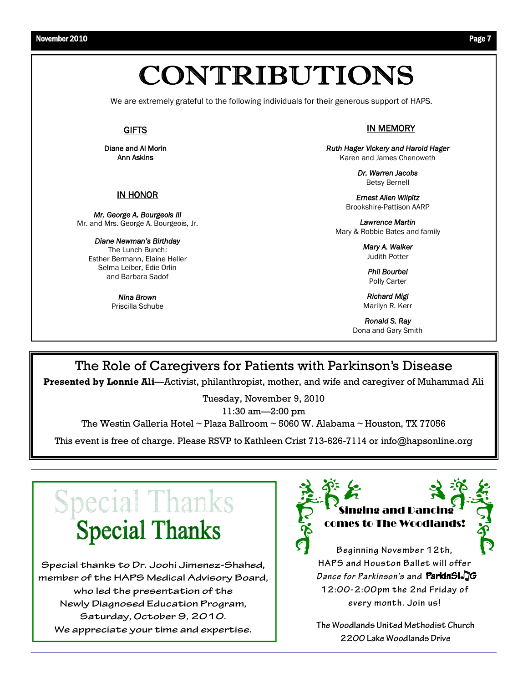### CONTRIBUTIONS

We are extremely grateful to the following individuals for their generous support of HAPS.

#### **GIFTS**

**Diane and Al Morin Ann Askins**

#### **IN HONOR**

*Mr. George A. Bourgeois III* Mr. and Mrs. George A. Bourgeois, Jr.

*Diane Newman's Birthday* The Lunch Bunch: Esther Bermann, Elaine Heller Selma Leiber, Edie Orlin and Barbara Sadof

> *Nina Brown*  Priscilla Schube

**IN MEMORY** 

*Ruth Hager Vickery and Harold Hager* Karen and James Chenoweth

> *Dr. Warren Jacobs* Betsy Bernell

*Ernest Allen Wilpitz* Brookshire-Pattison AARP

*Lawrence Martin* Mary & Robbie Bates and family

> *Mary A. Walker* Judith Potter

*Phil Bourbel* Polly Carter

*Richard Migl* Marilyn R. Kerr

*Ronald S. Ray* Dona and Gary Smith

#### The Role of Caregivers for Patients with Parkinson's Disease

**Presented by Lonnie Ali**—Activist, philanthropist, mother, and wife and caregiver of Muhammad Ali

Tuesday, November 9, 2010

11:30 am—2:00 pm

The Westin Galleria Hotel ~ Plaza Ballroom ~ 5060 W. Alabama ~ Houston, TX 77056

This event is free of charge. Please RSVP to Kathleen Crist 713-626-7114 or info@hapsonline.org

### Special Thanks **Special Thanks**

**Special thanks to Dr. Joohi Jimenez-Shahed, member of the HAPS Medical Advisory Board, who led the presentation of the Newly Diagnosed Education Program, Saturday, October 9, 2010. We appreciate your time and expertise.** 





**Beginning November 12th, HAPS and Houston Ballet will offer**  *Dance for Parkinson's* **and 12:00-2:00pm the 2nd Friday of every month. Join us!** 

**The Woodlands United Methodist Church 2200 Lake Woodlands Drive**